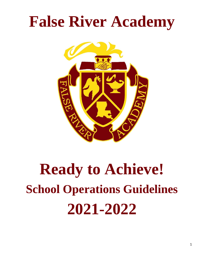# **False River Academy**



# **Ready to Achieve! School Operations Guidelines 2021-2022**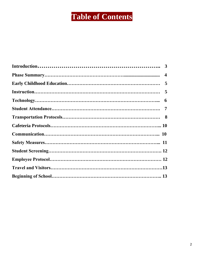# **Table of Contents**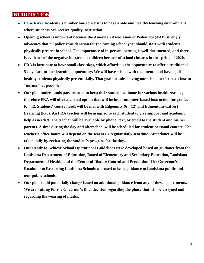# **INTRODUCTION**

- **False River Academy's number one concern is to have a safe and healthy learning environment where students can receive quality instruction.**
- **Opening school is important because the American Association of Pediatrics (AAP) strongly advocates that all policy consideration for the coming school year should start with students physically present in school. The importance of in-person learning is well-documented, and there is evidence of the negative impacts on children because of school closures in the spring of 2020.**
- **FRA is fortunate to have small class sizes, which affords us the opportunity to offer a traditional 5-day, face-to-face learning opportunity. We will have school with the intention of having all healthy students physically present daily. That goal includes having our school perform as close to "normal" as possible.**
- **Our plan understands parents need to keep their students at home for various health reasons, therefore FRA will offer a virtual option that will include computer-based instruction for grades K – 12. Students' course needs will be met with Edgenuity (6 – 12) and Edmentum-Calvert Learning (K-5). An FRA teacher will be assigned to each student to give support and academic help as needed. The teacher will be available by phone, text, or email to the student and his/her parents. A time during the day and afterschool will be scheduled for student personal contact. The teacher's office hours will depend on the teacher's regular daily schedule. Attendance will be taken daily by reviewing the student's progress for the day.**
- **Our Ready to Achieve School Operational Guidelines were developed based on guidance from the Louisiana Department of Education, Board of Elementary and Secondary Education, Louisiana Department of Health, and the Center of Disease Control and Prevention. The Governor's Roadmap to Restarting Louisiana Schools was used to issue guidance to Louisiana public and non-public schools.**
- **Our plan could potentially change based on additional guidance from any of these departments. We are waiting for the Governor's final decision regarding the phase that will be assigned and regarding the wearing of masks.**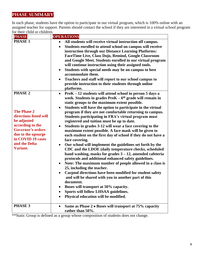# **PHASE SUMMARY**

In each phase, students have the option to participate in our virtual program, which is 100% online with an assigned teacher for support. Parents should contact the school if they are interested in a virtual school program for their child or children.

| <b>PHASE</b>                                                                                                                                                                                                 | <b>OPERATIONS</b>                                                                                                                                                                                                                                                                                                                                                                                                                                                                                                                                                                                                                                                                                                                                                                                                                                                                                                                                                                                                                                                                                                                                                                                                                                                                                   |
|--------------------------------------------------------------------------------------------------------------------------------------------------------------------------------------------------------------|-----------------------------------------------------------------------------------------------------------------------------------------------------------------------------------------------------------------------------------------------------------------------------------------------------------------------------------------------------------------------------------------------------------------------------------------------------------------------------------------------------------------------------------------------------------------------------------------------------------------------------------------------------------------------------------------------------------------------------------------------------------------------------------------------------------------------------------------------------------------------------------------------------------------------------------------------------------------------------------------------------------------------------------------------------------------------------------------------------------------------------------------------------------------------------------------------------------------------------------------------------------------------------------------------------|
| <b>PHASE 1</b>                                                                                                                                                                                               | All students will receive virtual instruction off campus.<br>$\bullet$<br>Students enrolled to attend school on campus will receive<br>$\bullet$<br>instruction through our Distance Learning Platforms:<br>FaceTime Live, Class Dojo, Remind, Google Classroom<br>and Google Meet. Students enrolled in our virtual program<br>will continue instruction using their assigned tools.<br>Students with special needs may be on campus to best<br>$\bullet$<br>accommodate them.<br>Teachers and staff will report to our school campus to<br>$\bullet$<br>provide instruction to their students through online<br>platforms.                                                                                                                                                                                                                                                                                                                                                                                                                                                                                                                                                                                                                                                                        |
| <b>PHASE 2</b><br><b>The Phase 2</b><br>directions listed will<br>be adjusted<br>according to the<br><b>Governor's orders</b><br>due to the upsurge<br>in COVID 19 cases<br>and the Delta<br><b>Variant.</b> | PreK – 12 students will attend school in person 5 days a<br>$\bullet$<br>week. Students in grades $PreK - 6th$ grade will remain in<br>static groups to the maximum extent possible.<br>Students will have the option to participate in the virtual<br>$\bullet$<br>program if they are not comfortable returning to campus.<br>Students participating in FRA's virtual program must<br>registered and tuition must be up to date.<br>Students in grades 3-12 will wear a face covering to the<br>$\bullet$<br>maximum extent possible. A face mask will be given to<br>each student on the first day of school if they do not have a<br>face covering.<br>Our school will implement the guidelines set forth by the<br>$\bullet$<br>CDC and the LDOE (daily temperature checks, scheduled<br>hand washing, masks for grades $3 - 12$ , amended cafeteria<br>protocols and additional enhanced safety guidelines.<br>Note: The maximum number of people allowed in a class is<br>$\bullet$<br>25, including the teacher.<br>Carpool directions have been modified for student safety<br>$\bullet$<br>and will be shared with you in another part of this<br>document.<br>Buses will transport at 50% capacity.<br>Sports will follow LHSAA guidelines.<br>Physical education will be modified.<br>٠ |
| PHASE 3                                                                                                                                                                                                      | Same as Phase 2 • Buses will transport at 75% capacity<br>$\bullet$<br>rather than 50%.                                                                                                                                                                                                                                                                                                                                                                                                                                                                                                                                                                                                                                                                                                                                                                                                                                                                                                                                                                                                                                                                                                                                                                                                             |

\*\*Static Group is defined as a group whose composition of students does not change.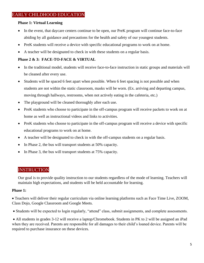# EARLY CHILDHOOD EDUCATION

#### **Phase 1: Virtual Learning**

- In the event, that daycare centers continue to be open, our PreK program will continue face-to-face abiding by all guidance and precautions for the health and safety of our youngest students.
- PreK students will receive a device with specific educational programs to work on at home.
- A teacher will be designated to check in with these students on a regular basis.

#### **Phase 2 & 3: FACE-TO-FACE & VIRTUAL**

- In the traditional model, students will receive face-to-face instruction in static groups and materials will be cleaned after every use.
- Students will be spaced 6 feet apart when possible. When 6 feet spacing is not possible and when students are not within the static classroom, masks will be worn. (Ex. arriving and departing campus, moving through hallways, restrooms, when not actively eating in the cafeteria, etc.)
- The playground will be cleaned thoroughly after each use.
- PreK students who choose to participate in the off-campus program will receive packets to work on at home as well as instructional videos and links to activities.
- PreK students who choose to participate in the off-campus program will receive a device with specific educational programs to work on at home.
- A teacher will be designated to check in with the off-campus students on a regular basis.
- In Phase 2, the bus will transport students at 50% capacity.
- In Phase 3, the bus will transport students at 75% capacity.

# **INSTRUCTION**

Our goal is to provide quality instruction to our students regardless of the mode of learning. Teachers will maintain high expectations, and students will be held accountable for learning.

#### **Phase 1:**

• Teachers will deliver their regular curriculum via online learning platforms such as Face Time Live, ZOOM, Class Dojo, Google Classroom and Google Meets.

• Students will be expected to login regularly, "attend" class, submit assignments, and complete assessments.

• All students in grades 3-12 will receive a laptop/Chromebook. Students in PK to 2 will be assigned an iPad when they are received. Parents are responsible for all damages to their child's loaned device. Parents will be required to purchase insurance on these devices.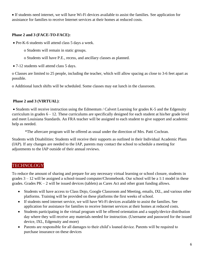• If students need internet, we will have Wi-Fi devices available to assist the families. See application for assistance for families to receive Internet services at their homes at reduced costs.

#### **Phase 2 and 3 (FACE-TO-FACE):**

• Pre-K-6 students will attend class 5 days a week.

o Students will remain in static groups.

- o Students will have P.E., recess, and ancillary classes as planned.
- 7-12 students will attend class 5 days.

o Classes are limited to 25 people, including the teacher, which will allow spacing as close to 3-6 feet apart as possible.

o Additional lunch shifts will be scheduled. Some classes may eat lunch in the classroom.

### **Phase 2 and 3 (VIRTUAL)**:

• Students will receive instruction using the Edmentum / Calvert Learning for grades K-5 and the Edgenuity curriculum in grades 6 – 12. These curriculums are specifically designed for each student at his/her grade level and meet Louisiana Standards. An FRA teacher will be assigned to each student to give support and academic help as needed.

\*The aftercare program will be offered as usual under the direction of Mrs. Patti Cochran.

Students with Disabilities: Students will receive their supports as outlined in their Individual Academic Plans (IAP). If any changes are needed to the IAP, parents may contact the school to schedule a meeting for adjustments to the IAP outside of their annual reviews.

# **TECHNOLOGY**

To reduce the amount of sharing and prepare for any necessary virtual learning or school closure, students in grades 3 – 12 will be assigned a school-issued computer/Chromebook. Our school will be a 1:1 model in these grades. Grades  $PK - 2$  will be issued devices (tablets) as Cares Act and other grant funding allows.

- Students will have access to Class Dojo, Google Classroom and Meeting, emails, IXL, and various other platforms. Training will be provided on these platforms the first weeks of school.
- If students need internet service, we will have Wi-Fi devices available to assist the families. See application for assistance for families to receive Internet services at their homes at reduced costs.
- Students participating in the virtual program will be offered orientation and a supply/device distribution day where they will receive any materials needed for instruction. (Username and password for the issued device, IXL, Edgenuity and more)
- Parents are responsible for all damages to their child's loaned device. Parents will be required to purchase insurance on these devices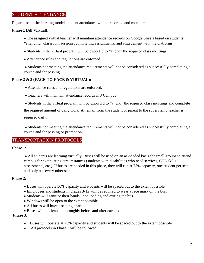# STUDENT ATTENDANCE

Regardless of the learning model, student attendance will be recorded and monitored.

#### **Phase 1 (All Virtual):**

- The assigned virtual teacher will maintain attendance records on Google Sheets based on students "attending" classroom sessions, completing assignments, and engagement with the platforms.
- Students in the virtual program will be expected to "attend" the required class meetings.
- Attendance rules and regulations are enforced.

• Students not meeting the attendance requirements will not be considered as successfully completing a course and for passing.

#### **Phase 2 & 3 (FACE-TO-FACE & VIRTUAL):**

- Attendance rules and regulations are enforced.
- Teachers will maintain attendance records in J Campus

• Students in the virtual program will be expected to "attend" the required class meetings and complete

the required amount of daily work. An email from the student or parent to the supervising teacher is required daily.

• Students not meeting the attendance requirements will not be considered as successfully completing a course and for passing or promotion.

# TRANSPORTATION PROTOCOLS

#### **Phase 1:**

• All students are learning virtually. Buses will be used on an as-needed basis for small groups to attend campus for extenuating circumstances (students with disabilities who need services, CTE skills assessments, etc.). If buses are needed in this phase, they will run at 25% capacity, one student per seat, and only use every other seat.

#### **Phase 2:**

- Buses will operate 50% capacity and students will be spaced out to the extent possible.
- Employees and students in grades 3-12 will be required to wear a face mask on the bus.
- Students will sanitize their hands upon loading and exiting the bus.
- Windows will be open to the extent possible.
- All buses will have a seating chart.
- Buses will be cleaned thoroughly before and after each load.

#### **Phase 3:**

- Buses will operate at 75% capacity and students will be spaced out to the extent possible.
- All protocols in Phase 2 will be followed.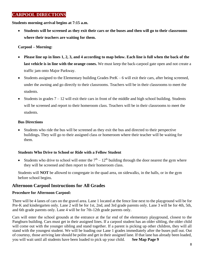# **CARPOOL DIRECTIONS**

**Students morning arrival begins at 7:15 a.m.** 

• **Students will be screened as they exit their cars or the buses and then will go to their classrooms where their teachers are waiting for them.**

#### **Carpool – Morning:**

- **Please line up in lines 1, 2, 3, and 4 according to map below. Each line is full when the back of the last vehicle is in line with the orange cones.** We must keep the back-carpool gate open and not create a traffic jam onto Major Parkway.
- Students assigned to the Elementary building Grades PreK 6 will exit their cars, after being screened, under the awning and go directly to their classrooms. Teachers will be in their classrooms to meet the students.
- Students in grades  $7 12$  will exit their cars in front of the middle and high school building. Students will be screened and report to their homeroom class. Teachers will be in their classrooms to meet the students.

#### **Bus Directions**

• Students who ride the bus will be screened as they exit the bus and directed to their perspective buildings**.** They will go to their assigned class or homeroom where their teacher will be waiting for them.

### **Students Who Drive to School or Ride with a Fellow Student**

• Students who drive to school will enter the  $7<sup>th</sup> - 12<sup>th</sup>$  building through the door nearest the gym where they will be screened and then report to their homeroom class.

Students will **NOT** be allowed to congregate in the quad area, on sidewalks, in the halls, or in the gym before school begins.

# **Afternoon Carpool Instructions for All Grades**

#### **Procedure for Afternoon Carpool:**

There will be 4 lanes of cars on the gravel area. Lane 1 located at the fence line next to the playground will be for Pre-K and kindergarten only. Lane 2 will be for 1st, 2nd, and 3rd grade parents only. Lane 3 will be for 4th, 5th, and 6th grade parents only. Lane 4 will be for 7th-12th grade parents only.

Cars will enter the school grounds at the entrance at the far end of the elementary playground, closest to the Pangburn building. Cars must get in their assigned lines. If a carpool student has an older sibling, the older child will come out with the younger sibling and stand together. If a parent is picking up other children, they will all stand with the youngest student. We will be loading our Lane 1 grades immediately after the buses pull out. Out of courtesy, those arriving late should be polite and get in their assigned lane. If that lane has already been loaded, you will wait until all students have been loaded to pick up your child. **See Map Page 9**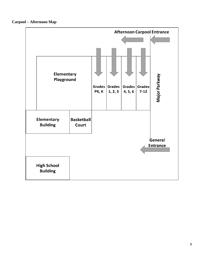**Carpool – Afternoon Map**

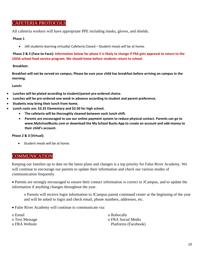# CAFETERIA PROTOCOLS

All cafeteria workers will have appropriate PPE including masks, gloves, and shields.

#### **Phase 1**

• (All students learning virtually) Cafeteria Closed – Student meals will be at home.

**Phase 2 & 3 (Face-to-Face): Information below for phase II is likely to change if FRA gets approval to return to the USDA school food service program. We should know before students return to school.**

#### **Breakfast:**

**Breakfast will not be served on campus. Please be sure your child has breakfast before arriving on campus in the morning.**

**Lunch:**

- **Lunches will be plated according to student/parent pre-ordered choice.**
- **Lunches will be pre-ordered one week in advance according to student and parent preference.**
- **Students may bring their lunch from home.**
- **Lunch costs are: \$3.25 Elementary and \$3.50 for high school.**
	- **The cafeteria will be thoroughly cleaned between each lunch shift.**
		- **Parents are encouraged to use our online payment system to reduce physical contact. Parents can go to www.MySchoolBucks.com or download the My School Bucks App to create an account and add money to their child's account.**

#### **Phase 2 & 3 (Virtual):**

• Student meals will be at home.

### **COMMUNICATION**

Keeping our families up to date on the latest plans and changes is a top priority for False River Academy. We will continue to encourage our parents to update their information and check our various modes of communication frequently.

• Parents are strongly encouraged to ensure their contact information is correct in JCampus, and to update the information if anything changes throughout the year.

o Parents will receive login information to JCampus parent command center at the beginning of the year and will be asked to login and check email, phone numbers, addresses, etc.

• False River Academy will continue to communicate via:

o Email o Robocalls o Text Message o FRA Social Media o FRA Website **Platforms** (Facebook)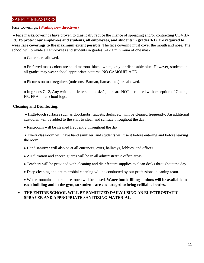# SAFETY MEASURES

Face Coverings: (Waiting new directives)

• Face masks/coverings have proven to drastically reduce the chance of spreading and/or contracting COVID-19. **To protect our employees and students, all employees, and students in grades 3-12 are required to wear face coverings to the maximum extent possible.** The face covering must cover the mouth and nose. The school will provide all employees and students in grades 3-12 a minimum of one mask.

o Gaiters are allowed.

o Preferred mask colors are solid maroon, black, white, gray, or disposable blue. However, students in all grades may wear school appropriate patterns. NO CAMOUFLAGE.

o Pictures on masks/gaiters (unicorns, Batman, llamas, etc.) are allowed.

o In grades 7-12, Any writing or letters on masks/gaiters are NOT permitted with exception of Gators, FR, FRA, or a school logo.

#### **Cleaning and Disinfecting:**

• High-touch surfaces such as doorknobs, faucets, desks, etc. will be cleaned frequently. An additional custodian will be added to the staff to clean and sanitize throughout the day.

• Restrooms will be cleaned frequently throughout the day.

• Every classroom will have hand sanitizer, and students will use it before entering and before leaving the room.

• Hand sanitizer will also be at all entrances, exits, hallways, lobbies, and offices.

- Air filtration and sneeze guards will be in all administrative office areas.
- Teachers will be provided with cleaning and disinfectant supplies to clean desks throughout the day.
- Deep cleaning and antimicrobial cleaning will be conducted by our professional cleaning team.

• Water fountains that require touch will be closed. **Water bottle-filling stations will be available in each building and in the gym, so students are encouraged to bring refillable bottles.**

#### • **THE ENTIRE SCHOOL WILL BE SAMITIZED DAILY USING AN ELECTROSTATIC SPRAYER AND APPROPRIATE SANITIZING MATERIAL.**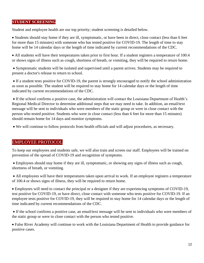#### **STUDENT SCREENING**

Student and employee health are our top priority; student screening is detailed below.

• Students should stay home if they are ill, symptomatic, or have been in direct, close contact (less than 6 feet for more than 15 minutes) with someone who has tested positive for COVID-19. The length of time to stay home will be 14 calendar days or the length of time indicated by current recommendations of the CDC.

• All students will have their temperatures taken prior to first hour. If a student registers a temperature of 100.4 or shows signs of illness such as cough, shortness of breath, or vomiting, they will be required to return home.

• Symptomatic students will be isolated and supervised until a parent arrives. Students may be required to present a doctor's release to return to school.

• If a student tests positive for COVID-19, the parent is strongly encouraged to notify the school administration as soon as possible. The student will be required to stay home for 14 calendar days or the length of time indicated by current recommendations of the CDC.

• If the school confirms a positive case, the administration will contact the Louisiana Department of Health's Regional Medical Director to determine additional steps that we may need to take. In addition, an email/text message will be sent to individuals who were members of the static group or were in close contact with the person who tested positive. Students who were in close contact (less than 6 feet for more than 15 minutes) should remain home for 14 days and monitor symptoms.

• We will continue to follow protocols from health officials and will adjust procedures, as necessary.

#### EMPLOYEE PROTOCOL

To keep our employees and students safe, we will also train and screen our staff. Employees will be trained on prevention of the spread of COVID-19 and recognition of symptoms.

• Employees should stay home if they are ill, symptomatic, or showing any signs of illness such as cough, shortness of breath, or vomiting.

• All employees will have their temperatures taken upon arrival to work. If an employee registers a temperature of 100.4 or shows signs of illness, they will be required to return home.

• Employees will need to contact the principal or a designee if they are experiencing symptoms of COVID-19, test positive for COVID-19, or have direct, close contact with someone who tests positive for COVID-19. If an employee tests positive for COVID-19, they will be required to stay home for 14 calendar days or the length of time indicated by current recommendations of the CDC.

• If the school confirms a positive case, an email/text message will be sent to individuals who were members of the static group or were in close contact with the person who tested positive.

• False River Academy will continue to work with the Louisiana Department of Health to provide guidance for positive cases.